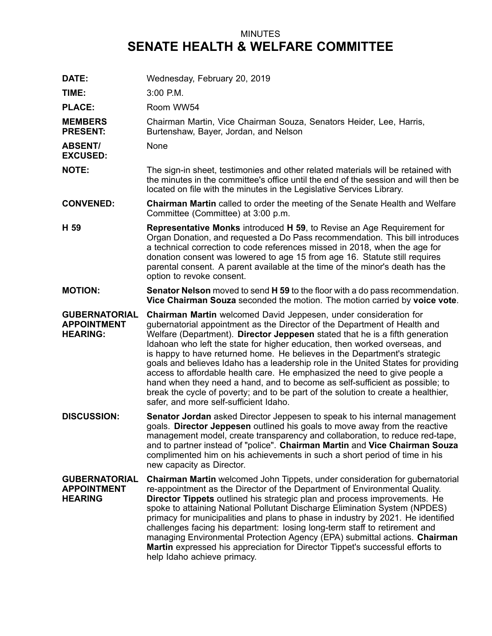## MINUTES **SENATE HEALTH & WELFARE COMMITTEE**

**DATE:** Wednesday, February 20, 2019 **TIME:** 3:00 P.M. PLACE: Room WW54 **MEMBERS PRESENT:** Chairman Martin, Vice Chairman Souza, Senators Heider, Lee, Harris, Burtenshaw, Bayer, Jordan, and Nelson **ABSENT/ EXCUSED:** None **NOTE:** The sign-in sheet, testimonies and other related materials will be retained with the minutes in the committee's office until the end of the session and will then be located on file with the minutes in the Legislative Services Library. **CONVENED: Chairman Martin** called to order the meeting of the Senate Health and Welfare Committee (Committee) at 3:00 p.m. **H 59 Representative Monks** introduced **H 59**, to Revise an Age Requirement for Organ Donation, and requested <sup>a</sup> Do Pass recommendation. This bill introduces <sup>a</sup> technical correction to code references missed in 2018, when the age for donation consent was lowered to age 15 from age 16. Statute still requires parental consent. A parent available at the time of the minor's death has the option to revoke consent. **MOTION: Senator Nelson** moved to send **H 59** to the floor with <sup>a</sup> do pass recommendation. **Vice Chairman Souza** seconded the motion. The motion carried by **voice vote**. **GUBERNATORIAL APPOINTMENT HEARING: Chairman Martin** welcomed David Jeppesen, under consideration for gubernatorial appointment as the Director of the Department of Health and Welfare (Department). **Director Jeppesen** stated that he is <sup>a</sup> fifth generation Idahoan who left the state for higher education, then worked overseas, and is happy to have returned home. He believes in the Department's strategic goals and believes Idaho has <sup>a</sup> leadership role in the United States for providing access to affordable health care. He emphasized the need to give people <sup>a</sup> hand when they need <sup>a</sup> hand, and to become as self-sufficient as possible; to break the cycle of poverty; and to be part of the solution to create <sup>a</sup> healthier, safer, and more self-sufficient Idaho. **DISCUSSION: Senator Jordan** asked Director Jeppesen to speak to his internal management goals. **Director Jeppesen** outlined his goals to move away from the reactive management model, create transparency and collaboration, to reduce red-tape, and to partner instead of "police". **Chairman Martin** and **Vice Chairman Souza** complimented him on his achievements in such <sup>a</sup> short period of time in his new capacity as Director. **GUBERNATORIAL APPOINTMENT HEARING Chairman Martin** welcomed John Tippets, under consideration for gubernatorial re-appointment as the Director of the Department of Environmental Quality. **Director Tippets** outlined his strategic plan and process improvements. He spoke to attaining National Pollutant Discharge Elimination System (NPDES) primacy for municipalities and plans to phase in industry by 2021. He identified challenges facing his department: losing long-term staff to retirement and managing Environmental Protection Agency (EPA) submittal actions. **Chairman Martin** expressed his appreciation for Director Tippet's successful efforts to help Idaho achieve primacy.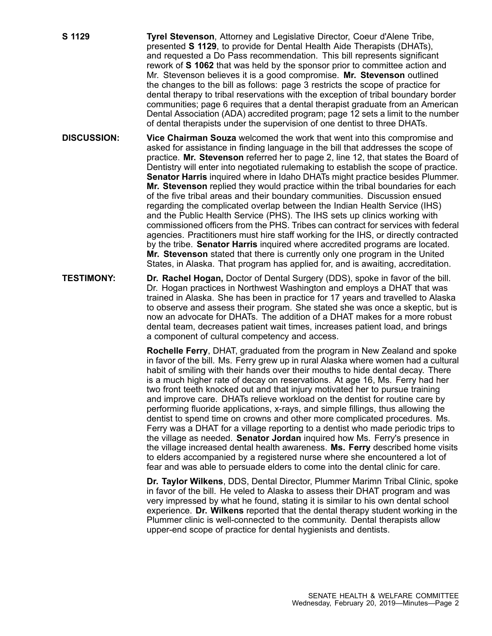**S 1129 Tyrel Stevenson**, Attorney and Legislative Director, Coeur d'Alene Tribe, presented **S 1129**, to provide for Dental Health Aide Therapists (DHATs), and requested <sup>a</sup> Do Pass recommendation. This bill represents significant rework of **S 1062** that was held by the sponsor prior to committee action and Mr. Stevenson believes it is <sup>a</sup> good compromise. **Mr. Stevenson** outlined the changes to the bill as follows: page 3 restricts the scope of practice for dental therapy to tribal reservations with the exception of tribal boundary border communities; page 6 requires that <sup>a</sup> dental therapist graduate from an American Dental Association (ADA) accredited program; page 12 sets <sup>a</sup> limit to the number of dental therapists under the supervision of one dentist to three DHATs.

- **DISCUSSION: Vice Chairman Souza** welcomed the work that went into this compromise and asked for assistance in finding language in the bill that addresses the scope of practice. **Mr. Stevenson** referred her to page 2, line 12, that states the Board of Dentistry will enter into negotiated rulemaking to establish the scope of practice. **Senator Harris** inquired where in Idaho DHATs might practice besides Plummer. **Mr. Stevenson** replied they would practice within the tribal boundaries for each of the five tribal areas and their boundary communities. Discussion ensued regarding the complicated overlap between the Indian Health Service (IHS) and the Public Health Service (PHS). The IHS sets up clinics working with commissioned officers from the PHS. Tribes can contract for services with federal agencies. Practitioners must hire staff working for the IHS, or directly contracted by the tribe. **Senator Harris** inquired where accredited programs are located. **Mr. Stevenson** stated that there is currently only one program in the United States, in Alaska. That program has applied for, and is awaiting, accreditation.
- **TESTIMONY: Dr. Rachel Hogan,** Doctor of Dental Surgery (DDS), spoke in favor of the bill. Dr. Hogan practices in Northwest Washington and employs <sup>a</sup> DHAT that was trained in Alaska. She has been in practice for 17 years and travelled to Alaska to observe and assess their program. She stated she was once <sup>a</sup> skeptic, but is now an advocate for DHATs. The addition of a DHAT makes for a more robust dental team, decreases patient wait times, increases patient load, and brings <sup>a</sup> component of cultural competency and access.

**Rochelle Ferry**, DHAT, graduated from the program in New Zealand and spoke in favor of the bill. Ms. Ferry grew up in rural Alaska where women had <sup>a</sup> cultural habit of smiling with their hands over their mouths to hide dental decay. There is <sup>a</sup> much higher rate of decay on reservations. At age 16, Ms. Ferry had her two front teeth knocked out and that injury motivated her to pursue training and improve care. DHATs relieve workload on the dentist for routine care by performing fluoride applications, x-rays, and simple fillings, thus allowing the dentist to spend time on crowns and other more complicated procedures. Ms. Ferry was <sup>a</sup> DHAT for <sup>a</sup> village reporting to <sup>a</sup> dentist who made periodic trips to the village as needed. **Senator Jordan** inquired how Ms. Ferry's presence in the village increased dental health awareness. **Ms. Ferry** described home visits to elders accompanied by <sup>a</sup> registered nurse where she encountered <sup>a</sup> lot of fear and was able to persuade elders to come into the dental clinic for care.

**Dr. Taylor Wilkens**, DDS, Dental Director, Plummer Marimn Tribal Clinic, spoke in favor of the bill. He veled to Alaska to assess their DHAT program and was very impressed by what he found, stating it is similar to his own dental school experience. **Dr. Wilkens** reported that the dental therapy student working in the Plummer clinic is well-connected to the community. Dental therapists allow upper-end scope of practice for dental hygienists and dentists.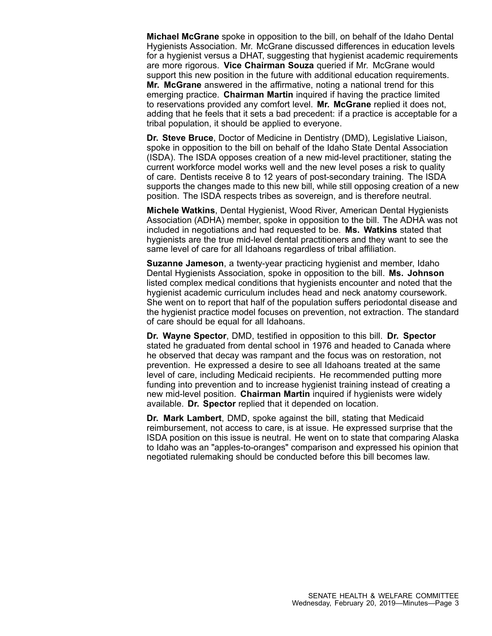**Michael McGrane** spoke in opposition to the bill, on behalf of the Idaho Dental Hygienists Association. Mr. McGrane discussed differences in education levels for <sup>a</sup> hygienist versus <sup>a</sup> DHAT, suggesting that hygienist academic requirements are more rigorous. **Vice Chairman Souza** queried if Mr. McGrane would support this new position in the future with additional education requirements. **Mr. McGrane** answered in the affirmative, noting <sup>a</sup> national trend for this emerging practice. **Chairman Martin** inquired if having the practice limited to reservations provided any comfort level. **Mr. McGrane** replied it does not, adding that he feels that it sets <sup>a</sup> bad precedent: if <sup>a</sup> practice is acceptable for <sup>a</sup> tribal population, it should be applied to everyone.

**Dr. Steve Bruce**, Doctor of Medicine in Dentistry (DMD), Legislative Liaison, spoke in opposition to the bill on behalf of the Idaho State Dental Association (ISDA). The ISDA opposes creation of <sup>a</sup> new mid-level practitioner, stating the current workforce model works well and the new level poses <sup>a</sup> risk to quality of care. Dentists receive 8 to 12 years of post-secondary training. The ISDA supports the changes made to this new bill, while still opposing creation of <sup>a</sup> new position. The ISDA respects tribes as sovereign, and is therefore neutral.

**Michele Watkins**, Dental Hygienist, Wood River, American Dental Hygienists Association (ADHA) member, spoke in opposition to the bill. The ADHA was not included in negotiations and had requested to be. **Ms. Watkins** stated that hygienists are the true mid-level dental practitioners and they want to see the same level of care for all Idahoans regardless of tribal affiliation.

**Suzanne Jameson**, <sup>a</sup> twenty-year practicing hygienist and member, Idaho Dental Hygienists Association, spoke in opposition to the bill. **Ms. Johnson** listed complex medical conditions that hygienists encounter and noted that the hygienist academic curriculum includes head and neck anatomy coursework. She went on to report that half of the population suffers periodontal disease and the hygienist practice model focuses on prevention, not extraction. The standard of care should be equal for all Idahoans.

**Dr. Wayne Spector**, DMD, testified in opposition to this bill. **Dr. Spector** stated he graduated from dental school in 1976 and headed to Canada where he observed that decay was rampant and the focus was on restoration, not prevention. He expressed <sup>a</sup> desire to see all Idahoans treated at the same level of care, including Medicaid recipients. He recommended putting more funding into prevention and to increase hygienist training instead of creating <sup>a</sup> new mid-level position. **Chairman Martin** inquired if hygienists were widely available. **Dr. Spector** replied that it depended on location.

**Dr. Mark Lambert**, DMD, spoke against the bill, stating that Medicaid reimbursement, not access to care, is at issue. He expressed surprise that the ISDA position on this issue is neutral. He went on to state that comparing Alaska to Idaho was an "apples-to-oranges" comparison and expressed his opinion that negotiated rulemaking should be conducted before this bill becomes law.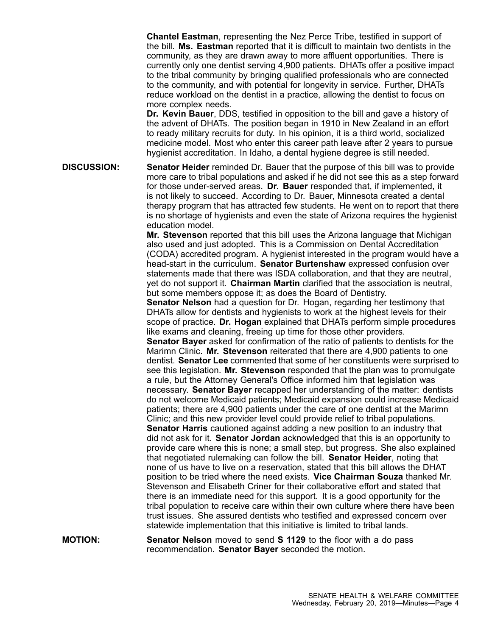**Chantel Eastman**, representing the Nez Perce Tribe, testified in support of the bill. **Ms. Eastman** reported that it is difficult to maintain two dentists in the community, as they are drawn away to more affluent opportunities. There is currently only one dentist serving 4,900 patients. DHATs offer <sup>a</sup> positive impact to the tribal community by bringing qualified professionals who are connected to the community, and with potential for longevity in service. Further, DHATs reduce workload on the dentist in <sup>a</sup> practice, allowing the dentist to focus on more complex needs.

**Dr. Kevin Bauer**, DDS, testified in opposition to the bill and gave <sup>a</sup> history of the advent of DHATs. The position began in 1910 in New Zealand in an effort to ready military recruits for duty. In his opinion, it is <sup>a</sup> third world, socialized medicine model. Most who enter this career path leave after 2 years to pursue hygienist accreditation. In Idaho, <sup>a</sup> dental hygiene degree is still needed.

**DISCUSSION: Senator Heider** reminded Dr. Bauer that the purpose of this bill was to provide more care to tribal populations and asked if he did not see this as <sup>a</sup> step forward for those under-served areas. **Dr. Bauer** responded that, if implemented, it is not likely to succeed. According to Dr. Bauer, Minnesota created <sup>a</sup> dental therapy program that has attracted few students. He went on to report that there is no shortage of hygienists and even the state of Arizona requires the hygienist education model.

> **Mr. Stevenson** reported that this bill uses the Arizona language that Michigan also used and just adopted. This is <sup>a</sup> Commission on Dental Accreditation (CODA) accredited program. A hygienist interested in the program would have <sup>a</sup> head-start in the curriculum. **Senator Burtenshaw** expressed confusion over statements made that there was ISDA collaboration, and that they are neutral, yet do not support it. **Chairman Martin** clarified that the association is neutral, but some members oppose it; as does the Board of Dentistry.

> **Senator Nelson** had <sup>a</sup> question for Dr. Hogan, regarding her testimony that DHATs allow for dentists and hygienists to work at the highest levels for their scope of practice. **Dr. Hogan** explained that DHATs perform simple procedures like exams and cleaning, freeing up time for those other providers.

**Senator Bayer** asked for confirmation of the ratio of patients to dentists for the Marimn Clinic. **Mr. Stevenson** reiterated that there are 4,900 patients to one dentist. **Senator Lee** commented that some of her constituents were surprised to see this legislation. **Mr. Stevenson** responded that the plan was to promulgate <sup>a</sup> rule, but the Attorney General's Office informed him that legislation was necessary. **Senator Bayer** recapped her understanding of the matter: dentists do not welcome Medicaid patients; Medicaid expansion could increase Medicaid patients; there are 4,900 patients under the care of one dentist at the Marimn Clinic; and this new provider level could provide relief to tribal populations. **Senator Harris** cautioned against adding <sup>a</sup> new position to an industry that did not ask for it. **Senator Jordan** acknowledged that this is an opportunity to provide care where this is none; <sup>a</sup> small step, but progress. She also explained that negotiated rulemaking can follow the bill. **Senator Heider**, noting that none of us have to live on <sup>a</sup> reservation, stated that this bill allows the DHAT position to be tried where the need exists. **Vice Chairman Souza** thanked Mr. Stevenson and Elisabeth Criner for their collaborative effort and stated that there is an immediate need for this support. It is <sup>a</sup> good opportunity for the tribal population to receive care within their own culture where there have been trust issues. She assured dentists who testified and expressed concern over statewide implementation that this initiative is limited to tribal lands.

**MOTION: Senator Nelson** moved to send **S 1129** to the floor with <sup>a</sup> do pass recommendation. **Senator Bayer** seconded the motion.